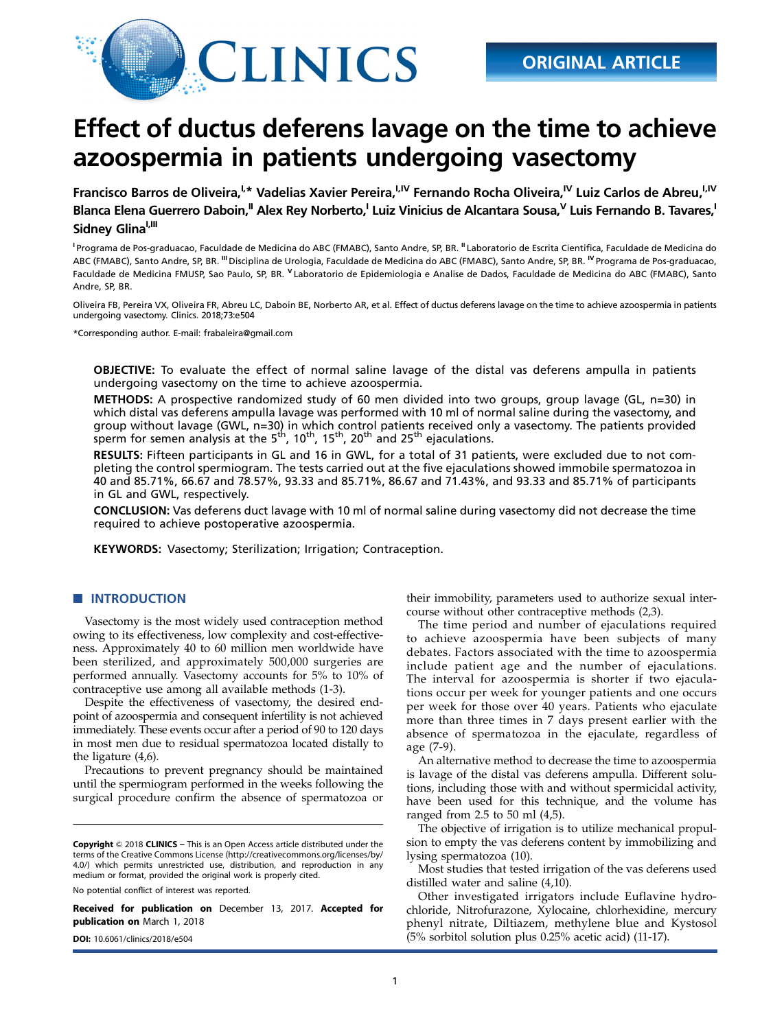

# Effect of ductus deferens lavage on the time to achieve azoospermia in patients undergoing vasectomy

Francisco Barros de Oliveira,<sup>I,\*</sup> Vadelias Xavier Pereira,<sup>I,IV</sup> Fernando Rocha Oliveira,<sup>IV</sup> Luiz Carlos de Abreu,<sup>I,IV</sup> Blanca Elena Guerrero Daboin,<sup>II</sup> Alex Rey Norberto,<sup>I</sup> Luiz Vinicius de Alcantara Sousa,<sup>V</sup> Luis Fernando B. Tavares,<sup>1</sup> Sidney Glina<sup>I,III</sup>

<sup>1</sup> Programa de Pos-graduacao, Faculdade de Medicina do ABC (FMABC), Santo Andre, SP, BR. <sup>II</sup> Laboratorio de Escrita Cientifica, Faculdade de Medicina do ABC (FMABC), Santo Andre, SP, BR. <sup>III</sup> Disciplina de Urologia, Faculdade de Medicina do ABC (FMABC), Santo Andre, SP, BR. <sup>IV</sup> Programa de Pos-graduacao, Faculdade de Medicina FMUSP, Sao Paulo, SP, BR. <sup>V</sup> Laboratorio de Epidemiologia e Analise de Dados, Faculdade de Medicina do ABC (FMABC), Santo Andre, SP, BR.

Oliveira FB, Pereira VX, Oliveira FR, Abreu LC, Daboin BE, Norberto AR, et al. Effect of ductus deferens lavage on the time to achieve azoospermia in patients undergoing vasectomy. Clinics. 2018;73:e504

\*Corresponding author. E-mail: [frabaleira@gmail.com](mailto:frabaleira@gmail.com)

OBJECTIVE: To evaluate the effect of normal saline lavage of the distal vas deferens ampulla in patients undergoing vasectomy on the time to achieve azoospermia.

METHODS: A prospective randomized study of 60 men divided into two groups, group lavage (GL, n=30) in which distal vas deferens ampulla lavage was performed with 10 ml of normal saline during the vasectomy, and group without lavage (GWL, n=30) in which control patients received only a vasectomy. The patients provided<br>sperm for semen analysis at the 5<sup>th</sup>, 10<sup>th</sup>, 15<sup>th</sup>, 20<sup>th</sup> and 25<sup>th</sup> ejaculations.

RESULTS: Fifteen participants in GL and 16 in GWL, for a total of 31 patients, were excluded due to not completing the control spermiogram. The tests carried out at the five ejaculations showed immobile spermatozoa in 40 and 85.71%, 66.67 and 78.57%, 93.33 and 85.71%, 86.67 and 71.43%, and 93.33 and 85.71% of participants in GL and GWL, respectively.

CONCLUSION: Vas deferens duct lavage with 10 ml of normal saline during vasectomy did not decrease the time required to achieve postoperative azoospermia.

KEYWORDS: Vasectomy; Sterilization; Irrigation; Contraception.

# **NUMBER OF INTRODUCTION**

Vasectomy is the most widely used contraception method owing to its effectiveness, low complexity and cost-effectiveness. Approximately 40 to 60 million men worldwide have been sterilized, and approximately 500,000 surgeries are performed annually. Vasectomy accounts for 5% to 10% of contraceptive use among all available methods (1-3).

Despite the effectiveness of vasectomy, the desired endpoint of azoospermia and consequent infertility is not achieved immediately. These events occur after a period of 90 to 120 days in most men due to residual spermatozoa located distally to the ligature (4,6).

Precautions to prevent pregnancy should be maintained until the spermiogram performed in the weeks following the surgical procedure confirm the absence of spermatozoa or

No potential conflict of interest was reported.

Received for publication on December 13, 2017. Accepted for publication on March 1, 2018

their immobility, parameters used to authorize sexual intercourse without other contraceptive methods (2,3).

The time period and number of ejaculations required to achieve azoospermia have been subjects of many debates. Factors associated with the time to azoospermia include patient age and the number of ejaculations. The interval for azoospermia is shorter if two ejaculations occur per week for younger patients and one occurs per week for those over 40 years. Patients who ejaculate more than three times in 7 days present earlier with the absence of spermatozoa in the ejaculate, regardless of age (7-9).

An alternative method to decrease the time to azoospermia is lavage of the distal vas deferens ampulla. Different solutions, including those with and without spermicidal activity, have been used for this technique, and the volume has ranged from 2.5 to 50 ml (4,5).

The objective of irrigation is to utilize mechanical propulsion to empty the vas deferens content by immobilizing and lysing spermatozoa (10).

Most studies that tested irrigation of the vas deferens used distilled water and saline (4,10).

Other investigated irrigators include Euflavine hydrochloride, Nitrofurazone, Xylocaine, chlorhexidine, mercury phenyl nitrate, Diltiazem, methylene blue and Kystosol DOI: [10.6061/clinics/2018/e504](http://dx.doi.org/10.6061/clinics/2018/e504) (5% sorbitol solution plus 0.25% acetic acid) (11-17).

Copyright © 2018 CLINICS – This is an Open Access article distributed under the terms of the Creative Commons License (http://creativecommons.org/licenses/by/ 4.0/) which permits unrestricted use, distribution, and reproduction in any medium or format, provided the original work is properly cited.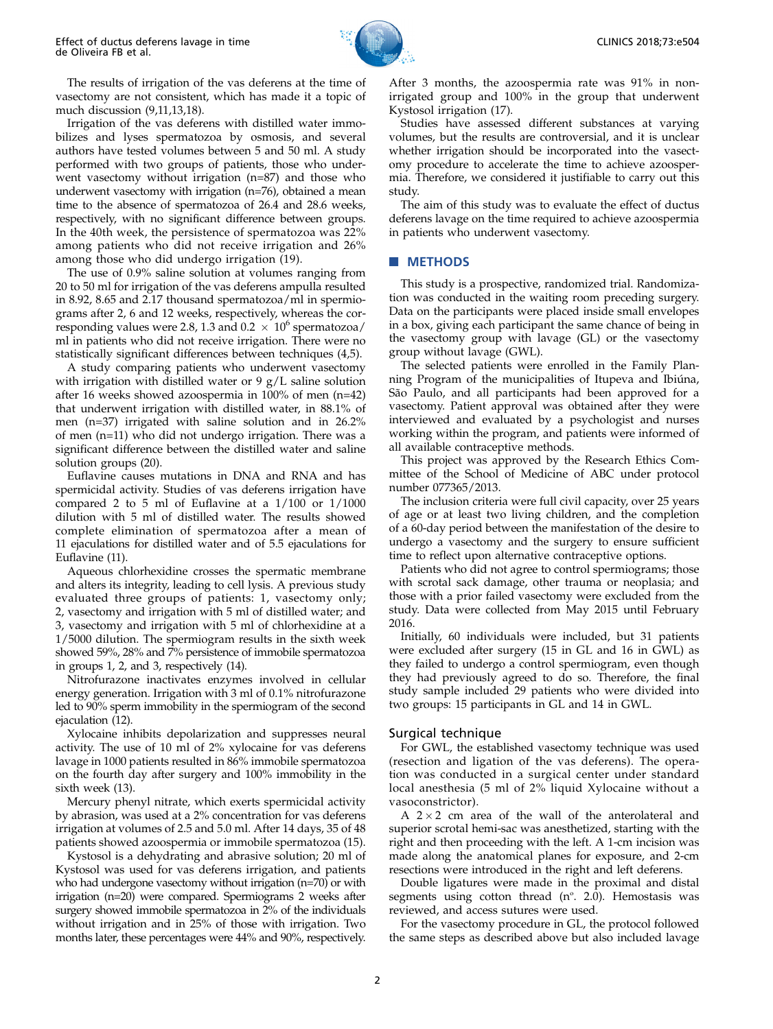CLINICS 2018;73:e504

The results of irrigation of the vas deferens at the time of vasectomy are not consistent, which has made it a topic of much discussion (9,11,13,18).

Irrigation of the vas deferens with distilled water immobilizes and lyses spermatozoa by osmosis, and several authors have tested volumes between 5 and 50 ml. A study performed with two groups of patients, those who underwent vasectomy without irrigation (n=87) and those who underwent vasectomy with irrigation (n=76), obtained a mean time to the absence of spermatozoa of 26.4 and 28.6 weeks, respectively, with no significant difference between groups. In the 40th week, the persistence of spermatozoa was 22% among patients who did not receive irrigation and 26% among those who did undergo irrigation (19).

The use of 0.9% saline solution at volumes ranging from 20 to 50 ml for irrigation of the vas deferens ampulla resulted in 8.92, 8.65 and 2.17 thousand spermatozoa/ml in spermiograms after 2, 6 and 12 weeks, respectively, whereas the corresponding values were 2.8, 1.3 and  $0.2 \times 10^6$  spermatozoa/ ml in patients who did not receive irrigation. There were no statistically significant differences between techniques (4,5).

A study comparing patients who underwent vasectomy with irrigation with distilled water or 9 g/L saline solution after 16 weeks showed azoospermia in 100% of men (n=42) that underwent irrigation with distilled water, in 88.1% of men (n=37) irrigated with saline solution and in 26.2% of men (n=11) who did not undergo irrigation. There was a significant difference between the distilled water and saline solution groups (20).

Euflavine causes mutations in DNA and RNA and has spermicidal activity. Studies of vas deferens irrigation have compared 2 to 5 ml of Euflavine at a 1/100 or 1/1000 dilution with 5 ml of distilled water. The results showed complete elimination of spermatozoa after a mean of 11 ejaculations for distilled water and of 5.5 ejaculations for Euflavine (11).

Aqueous chlorhexidine crosses the spermatic membrane and alters its integrity, leading to cell lysis. A previous study evaluated three groups of patients: 1, vasectomy only; 2, vasectomy and irrigation with 5 ml of distilled water; and 3, vasectomy and irrigation with 5 ml of chlorhexidine at a 1/5000 dilution. The spermiogram results in the sixth week showed 59%, 28% and 7% persistence of immobile spermatozoa in groups 1, 2, and 3, respectively (14).

Nitrofurazone inactivates enzymes involved in cellular energy generation. Irrigation with 3 ml of 0.1% nitrofurazone led to 90% sperm immobility in the spermiogram of the second ejaculation (12).

Xylocaine inhibits depolarization and suppresses neural activity. The use of 10 ml of 2% xylocaine for vas deferens lavage in 1000 patients resulted in 86% immobile spermatozoa on the fourth day after surgery and 100% immobility in the sixth week (13).

Mercury phenyl nitrate, which exerts spermicidal activity by abrasion, was used at a 2% concentration for vas deferens irrigation at volumes of 2.5 and 5.0 ml. After 14 days, 35 of 48 patients showed azoospermia or immobile spermatozoa (15).

Kystosol is a dehydrating and abrasive solution; 20 ml of Kystosol was used for vas deferens irrigation, and patients who had undergone vasectomy without irrigation (n=70) or with irrigation (n=20) were compared. Spermiograms 2 weeks after surgery showed immobile spermatozoa in 2% of the individuals without irrigation and in 25% of those with irrigation. Two months later, these percentages were 44% and 90%, respectively.

After 3 months, the azoospermia rate was 91% in nonirrigated group and 100% in the group that underwent Kystosol irrigation (17).

Studies have assessed different substances at varying volumes, but the results are controversial, and it is unclear whether irrigation should be incorporated into the vasectomy procedure to accelerate the time to achieve azoospermia. Therefore, we considered it justifiable to carry out this study.

The aim of this study was to evaluate the effect of ductus deferens lavage on the time required to achieve azoospermia in patients who underwent vasectomy.

#### **NETHODS**

This study is a prospective, randomized trial. Randomization was conducted in the waiting room preceding surgery. Data on the participants were placed inside small envelopes in a box, giving each participant the same chance of being in the vasectomy group with lavage (GL) or the vasectomy group without lavage (GWL).

The selected patients were enrolled in the Family Planning Program of the municipalities of Itupeva and Ibiúna, São Paulo, and all participants had been approved for a vasectomy. Patient approval was obtained after they were interviewed and evaluated by a psychologist and nurses working within the program, and patients were informed of all available contraceptive methods.

This project was approved by the Research Ethics Committee of the School of Medicine of ABC under protocol number 077365/2013.

The inclusion criteria were full civil capacity, over 25 years of age or at least two living children, and the completion of a 60-day period between the manifestation of the desire to undergo a vasectomy and the surgery to ensure sufficient time to reflect upon alternative contraceptive options.

Patients who did not agree to control spermiograms; those with scrotal sack damage, other trauma or neoplasia; and those with a prior failed vasectomy were excluded from the study. Data were collected from May 2015 until February 2016.

Initially, 60 individuals were included, but 31 patients were excluded after surgery (15 in GL and 16 in GWL) as they failed to undergo a control spermiogram, even though they had previously agreed to do so. Therefore, the final study sample included 29 patients who were divided into two groups: 15 participants in GL and 14 in GWL.

#### Surgical technique

For GWL, the established vasectomy technique was used (resection and ligation of the vas deferens). The operation was conducted in a surgical center under standard local anesthesia (5 ml of 2% liquid Xylocaine without a vasoconstrictor).

A  $2 \times 2$  cm area of the wall of the anterolateral and superior scrotal hemi-sac was anesthetized, starting with the right and then proceeding with the left. A 1-cm incision was made along the anatomical planes for exposure, and 2-cm resections were introduced in the right and left deferens.

Double ligatures were made in the proximal and distal segments using cotton thread  $(n^{\circ}. 2.0)$ . Hemostasis was reviewed, and access sutures were used.

For the vasectomy procedure in GL, the protocol followed the same steps as described above but also included lavage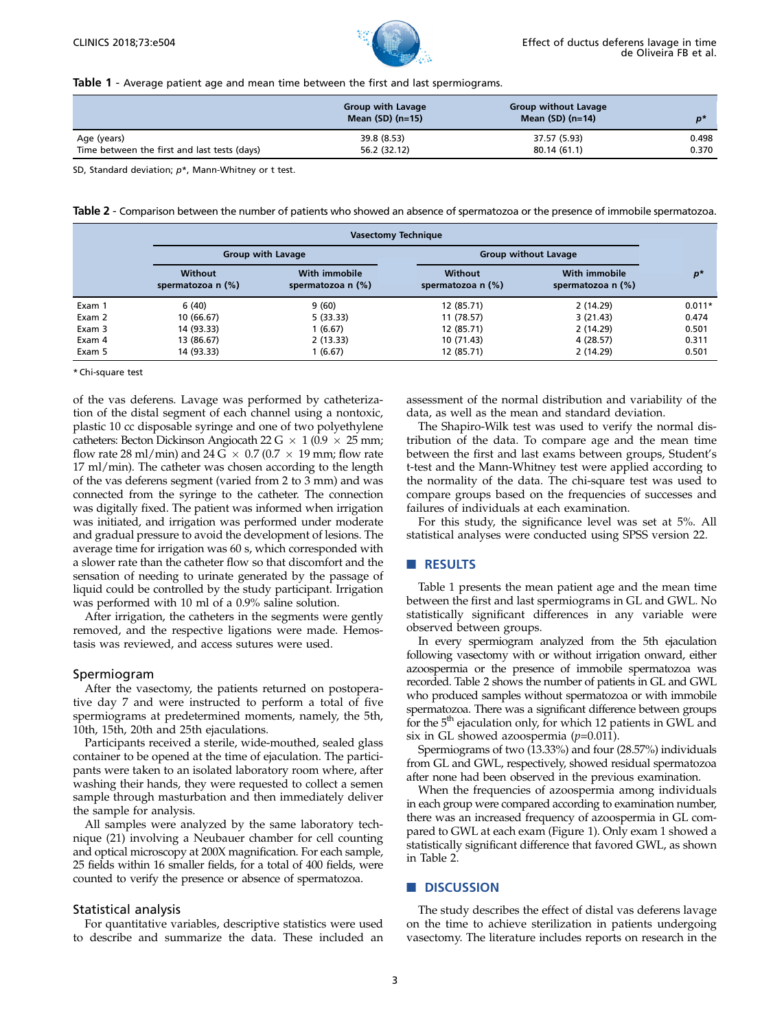

Table 1 - Average patient age and mean time between the first and last spermiograms.

|                                              | <b>Group with Lavage</b><br>Mean $(SD)$ (n=15) | <b>Group without Lavage</b><br>Mean $(SD)$ (n=14) | n'    |
|----------------------------------------------|------------------------------------------------|---------------------------------------------------|-------|
| Age (years)                                  | 39.8 (8.53)                                    | 37.57 (5.93)                                      | 0.498 |
| Time between the first and last tests (days) | 56.2 (32.12)                                   | 80.14 (61.1)                                      | 0.370 |

SD, Standard deviation;  $p^*$ , Mann-Whitney or t test.

Table 2 - Comparison between the number of patients who showed an absence of spermatozoa or the presence of immobile spermatozoa.

|        |                              | <b>Vasectomy Technique</b>           |                                     |                                    |          |  |
|--------|------------------------------|--------------------------------------|-------------------------------------|------------------------------------|----------|--|
|        |                              | <b>Group with Lavage</b>             |                                     | <b>Group without Lavage</b>        |          |  |
|        | Without<br>spermatozoa n (%) | With immobile<br>spermatozoa n $(%)$ | <b>Without</b><br>spermatozoa n (%) | With immobile<br>spermatozoa n (%) | $p^*$    |  |
| Exam 1 | 6(40)                        | 9(60)                                | 12 (85.71)                          | 2(14.29)                           | $0.011*$ |  |
| Exam 2 | 10 (66.67)                   | 5(33.33)                             | 11 (78.57)                          | 3(21.43)                           | 0.474    |  |
| Exam 3 | 14 (93.33)                   | 1 (6.67)                             | 12 (85.71)                          | 2(14.29)                           | 0.501    |  |
| Exam 4 | 13 (86.67)                   | 2(13.33)                             | 10 (71.43)                          | 4 (28.57)                          | 0.311    |  |
| Exam 5 | 14 (93.33)                   | 1 (6.67)                             | 12 (85.71)                          | 2(14.29)                           | 0.501    |  |

\* Chi-square test

of the vas deferens. Lavage was performed by catheterization of the distal segment of each channel using a nontoxic, plastic 10 cc disposable syringe and one of two polyethylene catheters: Becton Dickinson Angiocath 22 G  $\times$  1 (0.9  $\times$  25 mm; flow rate 28 ml/min) and 24 G  $\times$  0.7 (0.7  $\times$  19 mm; flow rate 17 ml/min). The catheter was chosen according to the length of the vas deferens segment (varied from 2 to 3 mm) and was connected from the syringe to the catheter. The connection was digitally fixed. The patient was informed when irrigation was initiated, and irrigation was performed under moderate and gradual pressure to avoid the development of lesions. The average time for irrigation was 60 s, which corresponded with a slower rate than the catheter flow so that discomfort and the sensation of needing to urinate generated by the passage of liquid could be controlled by the study participant. Irrigation was performed with 10 ml of a 0.9% saline solution.

After irrigation, the catheters in the segments were gently removed, and the respective ligations were made. Hemostasis was reviewed, and access sutures were used.

## Spermiogram

After the vasectomy, the patients returned on postoperative day 7 and were instructed to perform a total of five spermiograms at predetermined moments, namely, the 5th, 10th, 15th, 20th and 25th ejaculations.

Participants received a sterile, wide-mouthed, sealed glass container to be opened at the time of ejaculation. The participants were taken to an isolated laboratory room where, after washing their hands, they were requested to collect a semen sample through masturbation and then immediately deliver the sample for analysis.

All samples were analyzed by the same laboratory technique (21) involving a Neubauer chamber for cell counting and optical microscopy at 200X magnification. For each sample, 25 fields within 16 smaller fields, for a total of 400 fields, were counted to verify the presence or absence of spermatozoa.

## Statistical analysis

For quantitative variables, descriptive statistics were used to describe and summarize the data. These included an

assessment of the normal distribution and variability of the data, as well as the mean and standard deviation.

The Shapiro-Wilk test was used to verify the normal distribution of the data. To compare age and the mean time between the first and last exams between groups, Student's t-test and the Mann-Whitney test were applied according to the normality of the data. The chi-square test was used to compare groups based on the frequencies of successes and failures of individuals at each examination.

For this study, the significance level was set at 5%. All statistical analyses were conducted using SPSS version 22.

## **RESULTS**

Table 1 presents the mean patient age and the mean time between the first and last spermiograms in GL and GWL. No statistically significant differences in any variable were observed between groups.

In every spermiogram analyzed from the 5th ejaculation following vasectomy with or without irrigation onward, either azoospermia or the presence of immobile spermatozoa was recorded. Table 2 shows the number of patients in GL and GWL who produced samples without spermatozoa or with immobile spermatozoa. There was a significant difference between groups for the  $5<sup>th</sup>$  ejaculation only, for which 12 patients in GWL and six in GL showed azoospermia  $(p=0.011)$ .

Spermiograms of two (13.33%) and four (28.57%) individuals from GL and GWL, respectively, showed residual spermatozoa after none had been observed in the previous examination.

When the frequencies of azoospermia among individuals in each group were compared according to examination number, there was an increased frequency of azoospermia in GL compared to GWL at each exam (Figure 1). Only exam 1 showed a statistically significant difference that favored GWL, as shown in Table 2.

## **NUMBER** DISCUSSION

The study describes the effect of distal vas deferens lavage on the time to achieve sterilization in patients undergoing vasectomy. The literature includes reports on research in the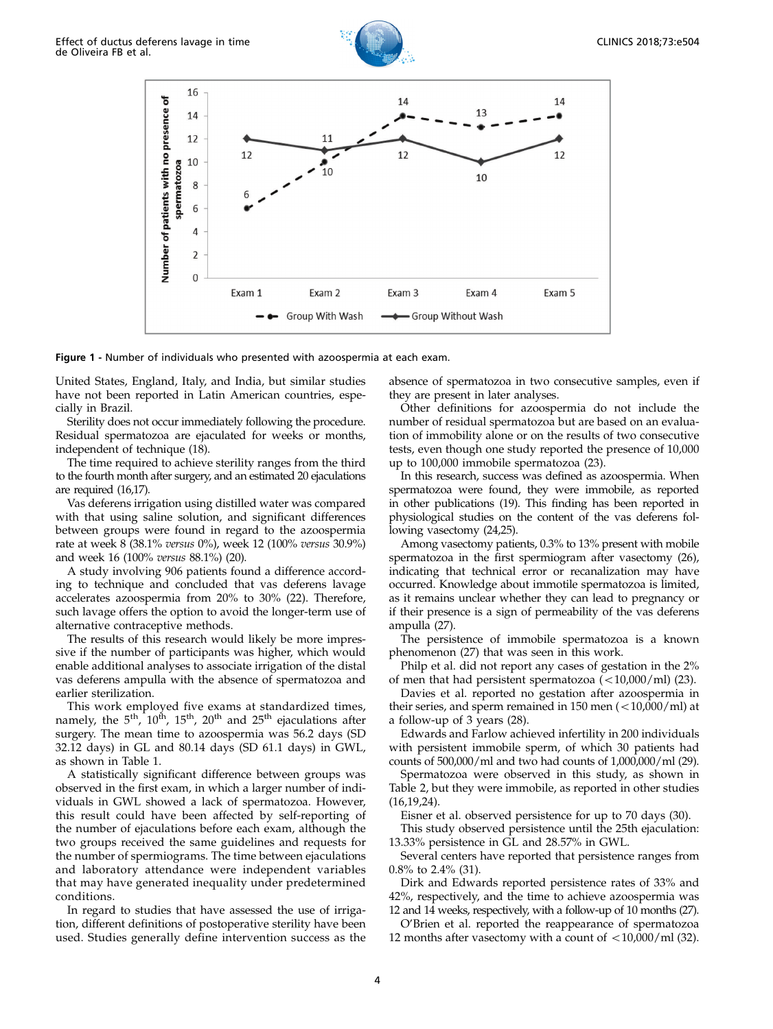

Figure 1 - Number of individuals who presented with azoospermia at each exam.

United States, England, Italy, and India, but similar studies have not been reported in Latin American countries, especially in Brazil.

Sterility does not occur immediately following the procedure. Residual spermatozoa are ejaculated for weeks or months, independent of technique (18).

The time required to achieve sterility ranges from the third to the fourth month after surgery, and an estimated 20 ejaculations are required (16,17).

Vas deferens irrigation using distilled water was compared with that using saline solution, and significant differences between groups were found in regard to the azoospermia rate at week 8 (38.1% versus 0%), week 12 (100% versus 30.9%) and week 16 (100% versus 88.1%) (20).

A study involving 906 patients found a difference according to technique and concluded that vas deferens lavage accelerates azoospermia from 20% to 30% (22). Therefore, such lavage offers the option to avoid the longer-term use of alternative contraceptive methods.

The results of this research would likely be more impressive if the number of participants was higher, which would enable additional analyses to associate irrigation of the distal vas deferens ampulla with the absence of spermatozoa and earlier sterilization.

This work employed five exams at standardized times, namely, the  $5<sup>th</sup>$ ,  $10<sup>th</sup>$ ,  $15<sup>th</sup>$ ,  $20<sup>th</sup>$  and  $25<sup>th</sup>$  ejaculations after surgery. The mean time to azoospermia was 56.2 days (SD 32.12 days) in GL and 80.14 days (SD 61.1 days) in GWL, as shown in Table 1.

A statistically significant difference between groups was observed in the first exam, in which a larger number of individuals in GWL showed a lack of spermatozoa. However, this result could have been affected by self-reporting of the number of ejaculations before each exam, although the two groups received the same guidelines and requests for the number of spermiograms. The time between ejaculations and laboratory attendance were independent variables that may have generated inequality under predetermined conditions.

In regard to studies that have assessed the use of irrigation, different definitions of postoperative sterility have been used. Studies generally define intervention success as the absence of spermatozoa in two consecutive samples, even if they are present in later analyses.

Other definitions for azoospermia do not include the number of residual spermatozoa but are based on an evaluation of immobility alone or on the results of two consecutive tests, even though one study reported the presence of 10,000 up to 100,000 immobile spermatozoa (23).

In this research, success was defined as azoospermia. When spermatozoa were found, they were immobile, as reported in other publications (19). This finding has been reported in physiological studies on the content of the vas deferens following vasectomy (24,25).

Among vasectomy patients, 0.3% to 13% present with mobile spermatozoa in the first spermiogram after vasectomy (26), indicating that technical error or recanalization may have occurred. Knowledge about immotile spermatozoa is limited, as it remains unclear whether they can lead to pregnancy or if their presence is a sign of permeability of the vas deferens ampulla (27).

The persistence of immobile spermatozoa is a known phenomenon (27) that was seen in this work.

Philp et al. did not report any cases of gestation in the 2% of men that had persistent spermatozoa  $(<10,000/ml)$  (23).

Davies et al. reported no gestation after azoospermia in their series, and sperm remained in  $150$  men  $\left($  <  $10,000$ /ml) at a follow-up of 3 years (28).

Edwards and Farlow achieved infertility in 200 individuals with persistent immobile sperm, of which 30 patients had counts of 500,000/ml and two had counts of 1,000,000/ml (29).

Spermatozoa were observed in this study, as shown in Table 2, but they were immobile, as reported in other studies (16,19,24).

Eisner et al. observed persistence for up to 70 days (30).

This study observed persistence until the 25th ejaculation: 13.33% persistence in GL and 28.57% in GWL.

Several centers have reported that persistence ranges from 0.8% to 2.4% (31).

Dirk and Edwards reported persistence rates of 33% and 42%, respectively, and the time to achieve azoospermia was 12 and 14 weeks, respectively, with a follow-up of 10 months (27).

O'Brien et al. reported the reappearance of spermatozoa 12 months after vasectomy with a count of  $\langle 10,000/ml (32)$ .